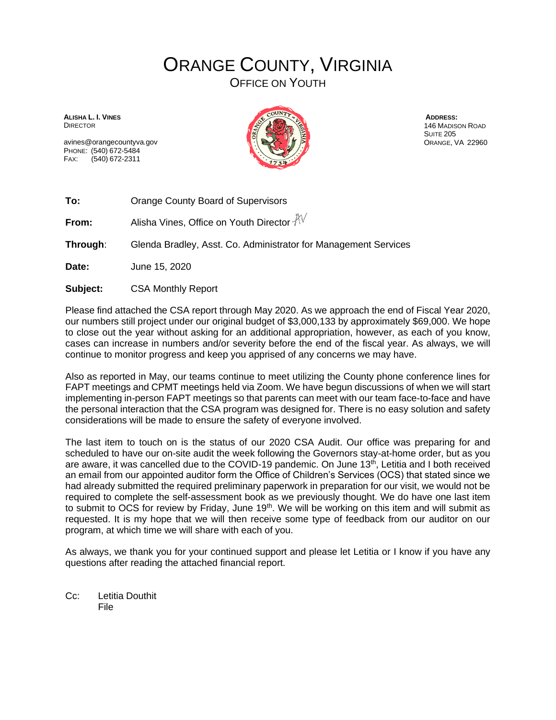## ORANGE COUNTY, VIRGINIA

OFFICE ON YOUTH

**ALISHA L. I. VINES DIRECTOR** 

avines@orangecountyva.gov PHONE: (540) 672-5484 FAX: (540) 672-2311



**ADDRESS:** 146 MADISON ROAD SUITE 205 ORANGE, VA 22960

**To:** Orange County Board of Supervisors

**From:** Alisha Vines, Office on Youth Director  $\sqrt[3]{\sqrt{}}$ 

**Through**: Glenda Bradley, Asst. Co. Administrator for Management Services

**Date:** June 15, 2020

**Subject:** CSA Monthly Report

Please find attached the CSA report through May 2020. As we approach the end of Fiscal Year 2020, our numbers still project under our original budget of \$3,000,133 by approximately \$69,000. We hope to close out the year without asking for an additional appropriation, however, as each of you know, cases can increase in numbers and/or severity before the end of the fiscal year. As always, we will continue to monitor progress and keep you apprised of any concerns we may have.

Also as reported in May, our teams continue to meet utilizing the County phone conference lines for FAPT meetings and CPMT meetings held via Zoom. We have begun discussions of when we will start implementing in-person FAPT meetings so that parents can meet with our team face-to-face and have the personal interaction that the CSA program was designed for. There is no easy solution and safety considerations will be made to ensure the safety of everyone involved.

The last item to touch on is the status of our 2020 CSA Audit. Our office was preparing for and scheduled to have our on-site audit the week following the Governors stay-at-home order, but as you are aware, it was cancelled due to the COVID-19 pandemic. On June 13<sup>th</sup>, Letitia and I both received an email from our appointed auditor form the Office of Children's Services (OCS) that stated since we had already submitted the required preliminary paperwork in preparation for our visit, we would not be required to complete the self-assessment book as we previously thought. We do have one last item to submit to OCS for review by Friday, June 19<sup>th</sup>. We will be working on this item and will submit as requested. It is my hope that we will then receive some type of feedback from our auditor on our program, at which time we will share with each of you.

As always, we thank you for your continued support and please let Letitia or I know if you have any questions after reading the attached financial report.

Cc: Letitia Douthit File